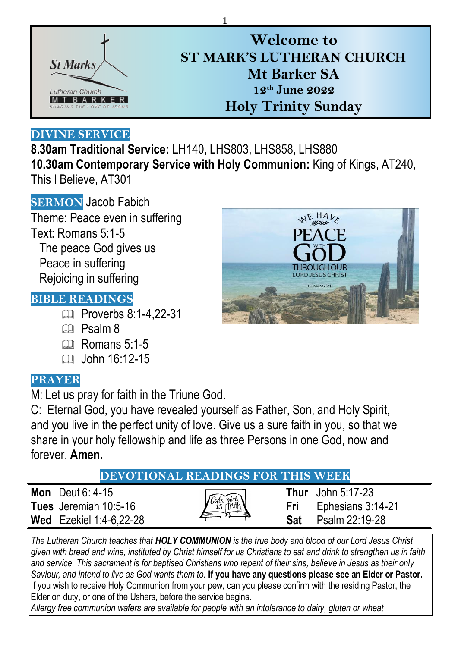

# **Welcome to ST MARK'S LUTHERAN CHURCH Mt Barker SA 12th June 2022 Holy Trinity Sunday**

### **DIVINE SERVICE**

**8.30am Traditional Service:** LH140, LHS803, LHS858, LHS880 **10.30am Contemporary Service with Holy Communion:** King of Kings, AT240, This I Believe, AT301

1

**SERMON** Jacob Fabich Theme: Peace even in suffering Text: Romans 5:1-5 The peace God gives us Peace in suffering Rejoicing in suffering

## **BIBLE READINGS**

- **Proverbs 8:1-4.22-31**
- m Psalm 8
- $\mathbb{R}$  Romans 5:1-5
- $\Box$  John 16:12-15

## **PRAYER**

M: Let us pray for faith in the Triune God.

C: Eternal God, you have revealed yourself as Father, Son, and Holy Spirit, and you live in the perfect unity of love. Give us a sure faith in you, so that we share in your holy fellowship and life as three Persons in one God, now and forever. **Amen.**

## **DEVOTIONAL READINGS FOR THIS WEEK**

**Mon** Deut 6: 4-15 **Thur** John 5:17-23 **Tues** Jeremiah 10:5-16 **Fri** Ephesians 3:14-21 **Wed** Ezekiel 1:4-6,22-28 **Sat** Psalm 22:19-28

*The Lutheran Church teaches that HOLY COMMUNION is the true body and blood of our Lord Jesus Christ given with bread and wine, instituted by Christ himself for us Christians to eat and drink to strengthen us in faith and service. This sacrament is for baptised Christians who repent of their sins, believe in Jesus as their only Saviour, and intend to live as God wants them to.* **If you have any questions please see an Elder or Pastor.**  If you wish to receive Holy Communion from your pew, can you please confirm with the residing Pastor, the Elder on duty, or one of the Ushers, before the service begins.

*Allergy free communion wafers are available for people with an intolerance to dairy, gluten or wheat*

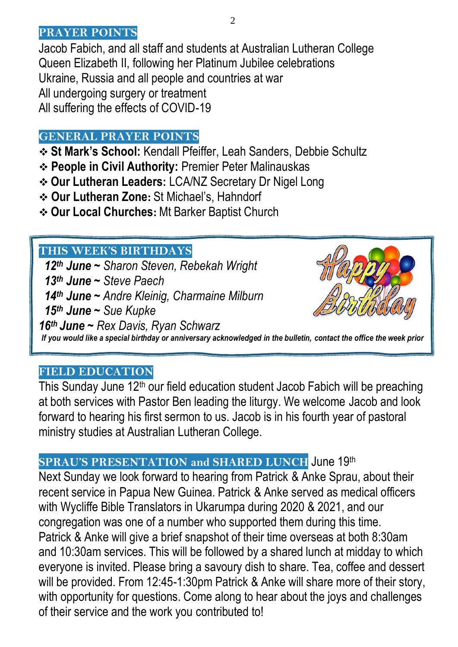#### **PRAYER POINTS**

Jacob Fabich, and all staff and students at Australian Lutheran College Queen Elizabeth II, following her Platinum Jubilee celebrations Ukraine, Russia and all people and countries at war All undergoing surgery or treatment All suffering the effects of COVID-19

## **GENERAL PRAYER POINTS**

- **St Mark's School:** Kendall Pfeiffer, Leah Sanders, Debbie Schultz
- **People in Civil Authority:** Premier Peter Malinauskas
- **Our Lutheran Leaders:** LCA/NZ Secretary Dr Nigel Long
- **Our Lutheran Zone:** St Michael's, Hahndorf
- **Our Local Churches:** Mt Barker Baptist Church

## **THIS WEEK'S BIRTHDAYS**

29th  *14th June ~ Andre Kleinig, Charmaine Milburn th June ~ Sharon Steven, Rebekah Wright th June ~ Steve Paech th June ~ Sue Kupke th June ~ Rex Davis, Ryan Schwarz If you would like a special birthday or anniversary acknowledged in the bulletin, contact the office the week prior*

### **FIELD EDUCATION**

This Sunday June 12<sup>th</sup> our field education student Jacob Fabich will be preaching at both services with Pastor Ben leading the liturgy. We welcome Jacob and look forward to hearing his first sermon to us. Jacob is in his fourth year of pastoral ministry studies at Australian Lutheran College.

## **SPRAU'S PRESENTATION and SHARED LUNCH** June 19th

Next Sunday we look forward to hearing from Patrick & Anke Sprau, about their recent service in Papua New Guinea. Patrick & Anke served as medical officers with Wycliffe Bible Translators in Ukarumpa during 2020 & 2021, and our congregation was one of a number who supported them during this time. Patrick & Anke will give a brief snapshot of their time overseas at both 8:30am and 10:30am services. This will be followed by a shared lunch at midday to which everyone is invited. Please bring a savoury dish to share. Tea, coffee and dessert will be provided. From 12:45-1:30pm Patrick & Anke will share more of their story, with opportunity for questions. Come along to hear about the joys and challenges of their service and the work you contributed to!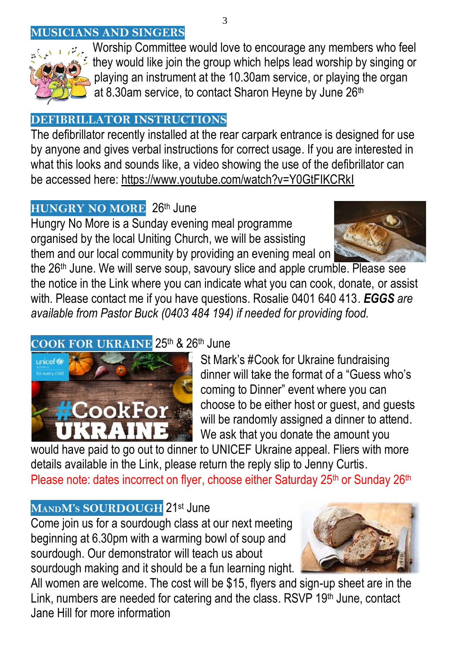### **WISICIANS AND SINGERS**



Worship Committee would love to encourage any members who feel they would like join the group which helps lead worship by singing or playing an instrument at the 10.30am service, or playing the organ at 8.30am service, to contact Sharon Heyne by June 26<sup>th</sup>

#### **[DEFIBRI](https://freepngimg.com/png/24594-singing-hd)LLATOR INSTRUCTIONS**

The defibrillator recently installed at the rear carpark entrance is designed for use by anyone and gives verbal instructions for correct usage. If you are interested in what [this loo](https://creativecommons.org/licenses/by-nc/3.0/)ks and sounds like, a video showing the use of the defibrillator can [be acces](https://creativecommons.org/licenses/by-nc/3.0/)sed here:<https://www.youtube.com/watch?v=Y0GtFIKCRkI>

## **HUNGRY NO MORE** 26th June

Hungry No More is a Sunday evening meal programme organised by the local Uniting Church, we will be assisting them and our local community by providing an evening meal on



the 26th June. We will serve soup, savoury slice and apple crumble. Please see the notice in the Link where you can indicate what you can cook, donate, or assist with. Please contact me if you have questions. Rosalie 0401 640 413. *EGGS are available from Pastor Buck (0403 484 194) if needed for providing food.*

## COOK FOR UKRAINE 25<sup>th</sup> & 26<sup>th</sup> June



St Mark's #Cook for Ukraine fundraising dinner will take the format of a "Guess who's coming to Dinner" event where you can choose to be either host or guest, and guests will be randomly assigned a dinner to attend. We ask that you donate the amount you

would have paid to go out to dinner to UNICEF Ukraine appeal. Fliers with more details available in the Link, please return the reply slip to Jenny Curtis. Please note: dates incorrect on flyer, choose either Saturday 25<sup>th</sup> or Sunday 26<sup>th</sup>

## **MANDM'<sup>S</sup> SOURDOUGH** 21st June

Come join us for a sourdough class at our next meeting beginning at 6.30pm with a warming bowl of soup and sourdough. Our demonstrator will teach us about sourdough making and it should be a fun learning night.



All women are welcome. The cost will be \$15, flyers and sign-up sheet are in the Link, numbers are needed for catering and the class. RSVP 19th June, contact Jane Hill for more information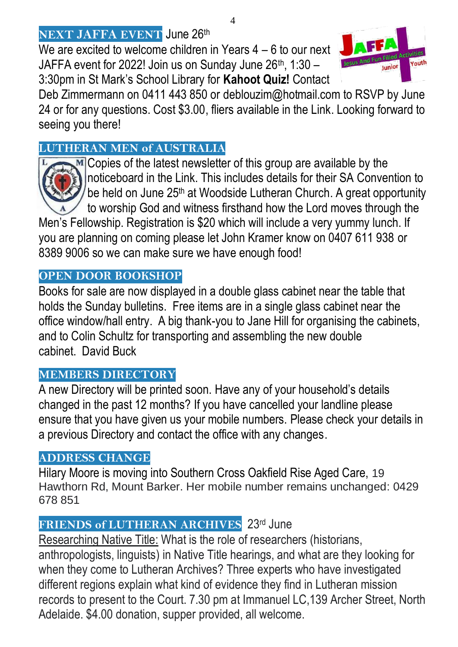## **NEXT JAFFA EVENT** June 26th

We are excited to welcome children in Years 4 – 6 to our next JAFFA event for 2022! Join us on Sunday June  $26<sup>th</sup>$ , 1:30 – 3:30pm in St Mark's School Library for **Kahoot Quiz!** Contact



#### **LUTHERAN MEN of AUSTRALIA**



 $M$  Copies of the latest newsletter of this group are available by the noticeboard in the Link. This includes details for their SA Convention to be held on June 25<sup>th</sup> at Woodside Lutheran Church. A great opportunity to worship God and witness firsthand how the Lord moves through the

Men's Fellowship. Registration is \$20 which will include a very yummy lunch. If you are planning on coming please let John Kramer know on 0407 611 938 or 8389 9006 so we can make sure we have enough food!

#### **OPEN DOOR BOOKSHOP**

Books for sale are now displayed in a double glass cabinet near the table that holds the Sunday bulletins. Free items are in a single glass cabinet near the office window/hall entry. A big thank-you to Jane Hill for organising the cabinets, and to Colin Schultz for transporting and assembling the new double cabinet. David Buck

## **MEMBERS DIRECTORY**

A new Directory will be printed soon. Have any of your household's details changed in the past 12 months? If you have cancelled your landline please ensure that you have given us your mobile numbers. Please check your details in a previous Directory and contact the office with any changes.

#### **ADDRESS CHANGE**

Hilary Moore is moving into Southern Cross Oakfield Rise Aged Care, 19 Hawthorn Rd, Mount Barker. Her mobile number remains unchanged: 0429 678 851

## **FRIENDS of LUTHERAN ARCHIVES** 23rd June

Researching Native Title: What is the role of researchers (historians, anthropologists, linguists) in Native Title hearings, and what are they looking for when they come to Lutheran Archives? Three experts who have investigated different regions explain what kind of evidence they find in Lutheran mission records to present to the Court. 7.30 pm at Immanuel LC,139 Archer Street, North Adelaide. \$4.00 donation, supper provided, all welcome.

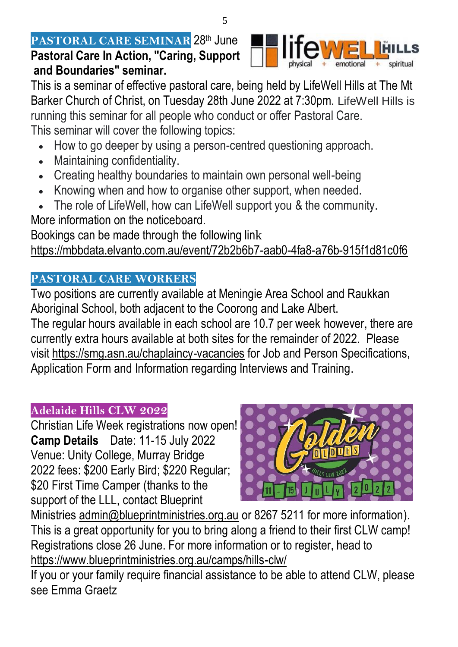### **PASTORAL CARE SEMINAR 28th June Pastoral Care In Action, "Caring, Support and Boundaries" seminar.**



This is a seminar of effective pastoral care, being held by LifeWell Hills at The Mt Barker Church of Christ, on Tuesday 28th June 2022 at 7:30pm. LifeWell Hills is running this seminar for all people who conduct or offer Pastoral Care. This seminar will cover the following topics:

- How to go deeper by using a person-centred questioning approach.
- Maintaining confidentiality.
- Creating healthy boundaries to maintain own personal well-being
- Knowing when and how to organise other support, when needed.
- The role of LifeWell, how can LifeWell support you & the community.

More information on the noticeboard.

Bookings can be made through the following link <https://mbbdata.elvanto.com.au/event/72b2b6b7-aab0-4fa8-a76b-915f1d81c0f6>

## **PASTORAL CARE WORKERS**

Two positions are currently available at Meningie Area School and Raukkan Aboriginal School, both adjacent to the Coorong and Lake Albert.

The regular hours available in each school are 10.7 per week however, there are currently extra hours available at both sites for the remainder of 2022. Please visit<https://smg.asn.au/chaplaincy-vacancies> for Job and Person Specifications, Application Form and Information regarding Interviews and Training.

## **Adelaide Hills CLW 2022**

Christian Life Week registrations now open! **Camp Details** Date: 11-15 July 2022 Venue: Unity College, Murray Bridge 2022 fees: \$200 Early Bird; \$220 Regular; \$20 First Time Camper (thanks to the support of the LLL, contact Blueprint



Ministries [admin@blueprintministries.org.au](mailto:admin@blueprintministries.org.au) or 8267 5211 for more information). This is a great opportunity for you to bring along a friend to their first CLW camp! Registrations close 26 June. For more information or to register, head to <https://www.blueprintministries.org.au/camps/hills-clw/>

If you or your family require financial assistance to be able to attend CLW, please see Emma Graetz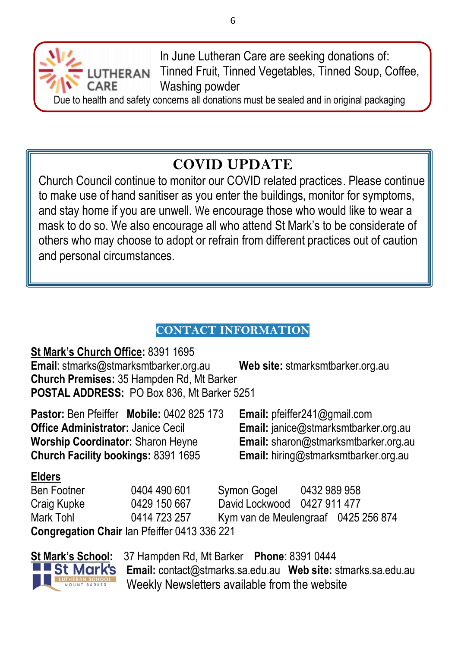In June Lutheran Care are seeking donations of: Tinned Fruit, Tinned Vegetables, Tinned Soup, Coffee, Washing powder

Due to health and safety concerns all donations must be sealed and in original packaging

# **COVID UPDATE**

Church Council continue to monitor our COVID related practices. Please continue to make use of hand sanitiser as you enter the buildings, monitor for symptoms, and stay home if you are unwell. We encourage those who would like to wear a mask to do so. We also encourage all who attend St Mark's to be considerate of others who may choose to adopt or refrain from different practices out of caution and personal circumstances.

## **CONTACT INFORMATION**

**St Mark's Church Office:** 8391 1695 **Email**: [stmarks@stmarksmtbarker.org.au](mailto:stmarks@stmarksmtbarker.org.au) **Web site:** stmarksmtbarker.org.au **Church Premises:** 35 Hampden Rd, Mt Barker **POSTAL ADDRESS:** PO Box 836, Mt Barker 5251 **Pastor:** Ben Pfeiffer **Mobile:** 0402 825 173 **Email:** [pfeiffer241@gmail.com](mailto:pfeiffer241@gmail.com)

LUTHERAN

CARE

**Office Administrator:** Janice Cecil **Email:** [janice@stmarksmtbarker.org.au](mailto:janice@stmarksmtbarker.org.au) **Worship Coordinator:** Sharon Heyne **Email:** [sharon@stmarksmtbarker.org.au](mailto:sharon@stmarksmtbarker.org.au) **Church Facility bookings:** 8391 1695 **Email:** hiring@stmarksmtbarker.org.au

### **Elders**

Ben Footner 0404 490 601 Symon Gogel 0432 989 958 Craig Kupke 0429 150 667 David Lockwood 0427 911 477 Mark Tohl 0414 723 257 Kym van de Meulengraaf 0425 256 874 **Congregation Chair** Ian Pfeiffer 0413 336 221



**St Mark's School:** 37 Hampden Rd, Mt Barker **Phone**: 8391 0444 **Email:** [contact@stmarks.sa.edu.au](mailto:contact@stmarks.sa.edu.au) **Web site:** [stmarks.sa.edu.au](http://www.stmarks.sa.edu.au/) Weekly Newsletters available from the website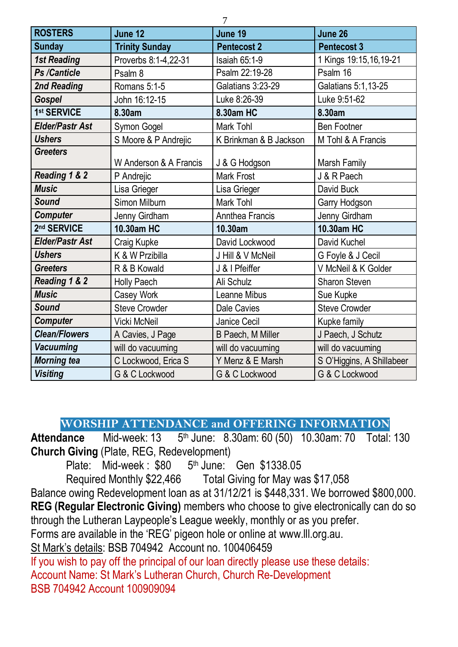| <b>ROSTERS</b>         | June 12                | June 19                | June 26                   |
|------------------------|------------------------|------------------------|---------------------------|
| <b>Sunday</b>          | <b>Trinity Sunday</b>  | <b>Pentecost 2</b>     | <b>Pentecost 3</b>        |
| <b>1st Reading</b>     | Proverbs 8:1-4,22-31   | Isaiah 65:1-9          | 1 Kings 19:15,16,19-21    |
| Ps /Canticle           | Psalm 8                | Psalm 22:19-28         | Psalm 16                  |
| 2nd Reading            | Romans 5:1-5           | Galatians 3:23-29      | Galatians 5:1,13-25       |
| Gospel                 | John 16:12-15          | Luke 8:26-39           | Luke 9:51-62              |
| 1st SERVICE            | 8.30am                 | 8.30am HC              | 8.30am                    |
| <b>Elder/Pastr Ast</b> | Symon Gogel            | Mark Tohl              | <b>Ben Footner</b>        |
| <b>Ushers</b>          | S Moore & P Andrejic   | K Brinkman & B Jackson | M Tohl & A Francis        |
| <b>Greeters</b>        | W Anderson & A Francis | J & G Hodgson          | Marsh Family              |
| Reading 1 & 2          | P Andrejic             | Mark Frost             | J & R Paech               |
| <b>Music</b>           | Lisa Grieger           | Lisa Grieger           | David Buck                |
| Sound                  | Simon Milburn          | Mark Tohl              | Garry Hodgson             |
| <b>Computer</b>        | Jenny Girdham          | Annthea Francis        | Jenny Girdham             |
| 2nd SERVICE            | 10.30am HC             | 10.30am                | 10.30am HC                |
| <b>Elder/Pastr Ast</b> | Craig Kupke            | David Lockwood         | David Kuchel              |
| <b>Ushers</b>          | K & W Przibilla        | J Hill & V McNeil      | G Foyle & J Cecil         |
| <b>Greeters</b>        | R & B Kowald           | J & I Pfeiffer         | V McNeil & K Golder       |
| Reading 1 & 2          | Holly Paech            | Ali Schulz             | Sharon Steven             |
| <b>Music</b>           | Casey Work             | Leanne Mibus           | Sue Kupke                 |
| Sound                  | <b>Steve Crowder</b>   | Dale Cavies            | <b>Steve Crowder</b>      |
| <b>Computer</b>        | Vicki McNeil           | Janice Cecil           | Kupke family              |
| <b>Clean/Flowers</b>   | A Cavies, J Page       | B Paech, M Miller      | J Paech, J Schutz         |
| <b>Vacuuming</b>       | will do vacuuming      | will do vacuuming      | will do vacuuming         |
| <b>Morning tea</b>     | C Lockwood, Erica S    | Y Menz & E Marsh       | S O'Higgins, A Shillabeer |
| <b>Visiting</b>        | G & C Lockwood         | G & C Lockwood         | G & C Lockwood            |

 $\overline{a}$ 

**WORSHIP ATTENDANCE and OFFERING INFORMATION**<br>**Attendance** Mid-week: 13 5<sup>th</sup> June: 8.30am: 60 (50) 10.30am: 70 Total:

**Mid-week: 13** 5<sup>th</sup> June: 8.30am: 60 (50) 10.30am: 70 Total: 130 **Church Giving** (Plate, REG, Redevelopment)

Plate: Mid-week: \$80 5<sup>th</sup> June: Gen \$1338.05

Required Monthly \$22,466 Total Giving for May was \$17,058

Balance owing Redevelopment loan as at 31/12/21 is \$448,331. We borrowed \$800,000. **REG (Regular Electronic Giving)** members who choose to give electronically can do so through the Lutheran Laypeople's League weekly, monthly or as you prefer.

Forms are available in the 'REG' pigeon hole or online at [www.lll.org.au.](http://www.lll.org.au/)

St Mark's details: BSB 704942 Account no. 100406459

If you wish to pay off the principal of our loan directly please use these details: Account Name: St Mark's Lutheran Church, Church Re-Development BSB 704942 Account 100909094